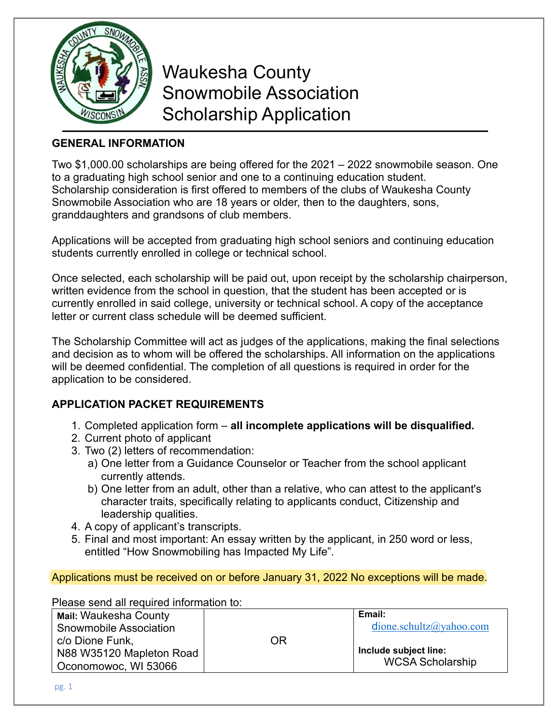

 Waukesha County Snowmobile Association Scholarship Application

## **GENERAL INFORMATION**

Two \$1,000.00 scholarships are being offered for the 2021 – 2022 snowmobile season. One to a graduating high school senior and one to a continuing education student. Scholarship consideration is first offered to members of the clubs of Waukesha County Snowmobile Association who are 18 years or older, then to the daughters, sons, granddaughters and grandsons of club members.

Applications will be accepted from graduating high school seniors and continuing education students currently enrolled in college or technical school.

Once selected, each scholarship will be paid out, upon receipt by the scholarship chairperson, written evidence from the school in question, that the student has been accepted or is currently enrolled in said college, university or technical school. A copy of the acceptance letter or current class schedule will be deemed sufficient.

The Scholarship Committee will act as judges of the applications, making the final selections and decision as to whom will be offered the scholarships. All information on the applications will be deemed confidential. The completion of all questions is required in order for the application to be considered.

## **APPLICATION PACKET REQUIREMENTS**

- 1. Completed application form **all incomplete applications will be disqualified.**
- 2. Current photo of applicant
- 3. Two (2) letters of recommendation:
	- a) One letter from a Guidance Counselor or Teacher from the school applicant currently attends.
	- b) One letter from an adult, other than a relative, who can attest to the applicant's character traits, specifically relating to applicants conduct, Citizenship and leadership qualities.
- 4. A copy of applicant's transcripts.
- 5. Final and most important: An essay written by the applicant, in 250 word or less, entitled "How Snowmobiling has Impacted My Life".

Applications must be received on or before January 31, 2022 No exceptions will be made.

Please send all required information to:

| <b>Mail: Waukesha County</b>  |    | Email:                  |
|-------------------------------|----|-------------------------|
| <b>Snowmobile Association</b> |    | dione.schultz@yahoo.com |
| c/o Dione Funk,               | OR |                         |
| N88 W35120 Mapleton Road      |    | Include subject line:   |
| Oconomowoc, WI 53066          |    | <b>WCSA Scholarship</b> |